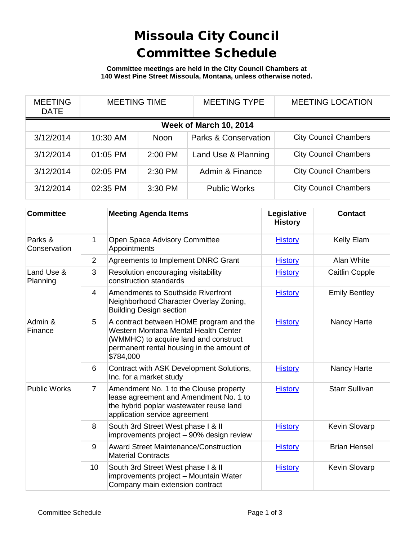## Missoula City Council Committee Schedule

**Committee meetings are held in the City Council Chambers at 140 West Pine Street Missoula, Montana, unless otherwise noted.**

| <b>MEETING</b><br><b>DATE</b> | <b>MEETING TIME</b> |             | <b>MEETING TYPE</b>             | <b>MEETING LOCATION</b>      |  |
|-------------------------------|---------------------|-------------|---------------------------------|------------------------------|--|
| Week of March 10, 2014        |                     |             |                                 |                              |  |
| 3/12/2014                     | 10:30 AM            | <b>Noon</b> | <b>Parks &amp; Conservation</b> | <b>City Council Chambers</b> |  |
| 3/12/2014                     | 01:05 PM            | 2:00 PM     | Land Use & Planning             | <b>City Council Chambers</b> |  |
| 3/12/2014                     | 02:05 PM            | 2:30 PM     | Admin & Finance                 | <b>City Council Chambers</b> |  |
| 3/12/2014                     | 02:35 PM            | 3:30 PM     | <b>Public Works</b>             | <b>City Council Chambers</b> |  |

| <b>Committee</b>        |                | <b>Meeting Agenda Items</b>                                                                                                                                                        | Legislative<br><b>History</b> | <b>Contact</b>        |
|-------------------------|----------------|------------------------------------------------------------------------------------------------------------------------------------------------------------------------------------|-------------------------------|-----------------------|
| Parks &<br>Conservation | 1              | Open Space Advisory Committee<br>Appointments                                                                                                                                      | <b>History</b>                | Kelly Elam            |
|                         | $\overline{2}$ | Agreements to Implement DNRC Grant                                                                                                                                                 | <b>History</b>                | Alan White            |
| Land Use &<br>Planning  | 3              | Resolution encouraging visitability<br>construction standards                                                                                                                      | <b>History</b>                | Caitlin Copple        |
|                         | $\overline{4}$ | <b>Amendments to Southside Riverfront</b><br>Neighborhood Character Overlay Zoning,<br><b>Building Design section</b>                                                              | <b>History</b>                | <b>Emily Bentley</b>  |
| Admin &<br>Finance      | 5              | A contract between HOME program and the<br>Western Montana Mental Health Center<br>(WMMHC) to acquire land and construct<br>permanent rental housing in the amount of<br>\$784,000 | <b>History</b>                | Nancy Harte           |
|                         | 6              | Contract with ASK Development Solutions,<br>Inc. for a market study                                                                                                                | <b>History</b>                | Nancy Harte           |
| <b>Public Works</b>     | $\overline{7}$ | Amendment No. 1 to the Clouse property<br>lease agreement and Amendment No. 1 to<br>the hybrid poplar wastewater reuse land<br>application service agreement                       | <b>History</b>                | <b>Starr Sullivan</b> |
|                         | 8              | South 3rd Street West phase I & II<br>improvements project - 90% design review                                                                                                     | <b>History</b>                | Kevin Slovarp         |
|                         | 9              | <b>Award Street Maintenance/Construction</b><br><b>Material Contracts</b>                                                                                                          | <b>History</b>                | <b>Brian Hensel</b>   |
|                         | 10             | South 3rd Street West phase I & II<br>improvements project - Mountain Water<br>Company main extension contract                                                                     | <b>History</b>                | Kevin Slovarp         |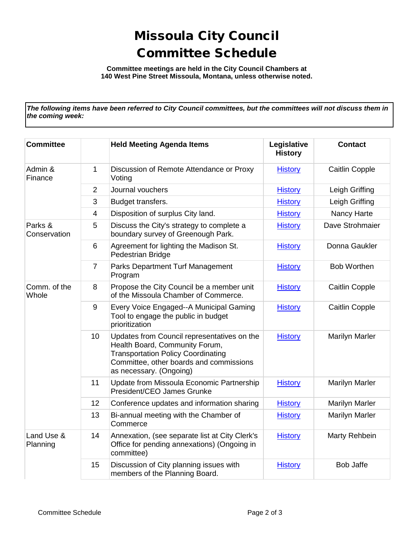## Missoula City Council Committee Schedule

**Committee meetings are held in the City Council Chambers at 140 West Pine Street Missoula, Montana, unless otherwise noted.**

*The following items have been referred to City Council committees, but the committees will not discuss them in the coming week:*

| <b>Committee</b>        |                         | <b>Held Meeting Agenda Items</b>                                                                                                                                                                 | Legislative<br><b>History</b> | <b>Contact</b>        |
|-------------------------|-------------------------|--------------------------------------------------------------------------------------------------------------------------------------------------------------------------------------------------|-------------------------------|-----------------------|
| Admin &<br>Finance      | $\mathbf{1}$            | Discussion of Remote Attendance or Proxy<br>Voting                                                                                                                                               | <b>History</b>                | Caitlin Copple        |
|                         | $\overline{2}$          | Journal vouchers                                                                                                                                                                                 | <b>History</b>                | Leigh Griffing        |
|                         | 3                       | Budget transfers.                                                                                                                                                                                | <b>History</b>                | Leigh Griffing        |
|                         | $\overline{\mathbf{4}}$ | Disposition of surplus City land.                                                                                                                                                                | <b>History</b>                | Nancy Harte           |
| Parks &<br>Conservation | 5                       | Discuss the City's strategy to complete a<br>boundary survey of Greenough Park.                                                                                                                  | <b>History</b>                | Dave Strohmaier       |
|                         | 6                       | Agreement for lighting the Madison St.<br>Pedestrian Bridge                                                                                                                                      | <b>History</b>                | Donna Gaukler         |
|                         | $\overline{7}$          | Parks Department Turf Management<br>Program                                                                                                                                                      | <b>History</b>                | <b>Bob Worthen</b>    |
| Comm. of the<br>Whole   | 8                       | Propose the City Council be a member unit<br>of the Missoula Chamber of Commerce.                                                                                                                | <b>History</b>                | Caitlin Copple        |
|                         | $\boldsymbol{9}$        | Every Voice Engaged--A Municipal Gaming<br>Tool to engage the public in budget<br>prioritization                                                                                                 | <b>History</b>                | <b>Caitlin Copple</b> |
|                         | 10                      | Updates from Council representatives on the<br>Health Board, Community Forum,<br><b>Transportation Policy Coordinating</b><br>Committee, other boards and commissions<br>as necessary. (Ongoing) | <b>History</b>                | <b>Marilyn Marler</b> |
|                         | 11                      | Update from Missoula Economic Partnership<br>President/CEO James Grunke                                                                                                                          | <b>History</b>                | <b>Marilyn Marler</b> |
|                         | 12                      | Conference updates and information sharing                                                                                                                                                       | <b>History</b>                | <b>Marilyn Marler</b> |
|                         | 13                      | Bi-annual meeting with the Chamber of<br>Commerce                                                                                                                                                | <b>History</b>                | <b>Marilyn Marler</b> |
| Land Use &<br>Planning  | 14                      | Annexation, (see separate list at City Clerk's<br>Office for pending annexations) (Ongoing in<br>committee)                                                                                      | <b>History</b>                | Marty Rehbein         |
|                         | 15                      | Discussion of City planning issues with<br>members of the Planning Board.                                                                                                                        | <b>History</b>                | <b>Bob Jaffe</b>      |